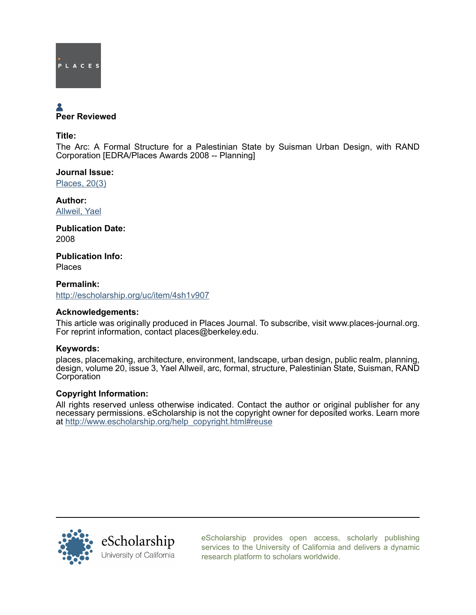

# Peer Reviewed

Title:

The Arc: A Formal Structure for a Palestinian State by Suisman Urban Design, with RAND Corporation [EDRA/Places Awards 2008 -- Planning]

Journal Issue: [Places, 20\(3\)](http://escholarship.org/uc/ced_places?volume=20;issue=3)

Author: [Allweil, Yael](http://escholarship.org/uc/search?creator=Allweil%2C%20Yael)

Publication Date: 2008

Publication Info: Places

Permalink: <http://escholarship.org/uc/item/4sh1v907>

# Acknowledgements:

This article was originally produced in Places Journal. To subscribe, visit www.places-journal.org. For reprint information, contact places@berkeley.edu.

# Keywords:

places, placemaking, architecture, environment, landscape, urban design, public realm, planning, design, volume 20, issue 3, Yael Allweil, arc, formal, structure, Palestinian State, Suisman, RAND **Corporation** 

### Copyright Information:

All rights reserved unless otherwise indicated. Contact the author or original publisher for any necessary permissions. eScholarship is not the copyright owner for deposited works. Learn more at [http://www.escholarship.org/help\\_copyright.html#reuse](http://www.escholarship.org/help_copyright.html#reuse)



[eScholarship provides open access, scholarly publishing](http://escholarship.org) [services to the University of California and delivers a dynamic](http://escholarship.org) [research platform to scholars worldwide.](http://escholarship.org)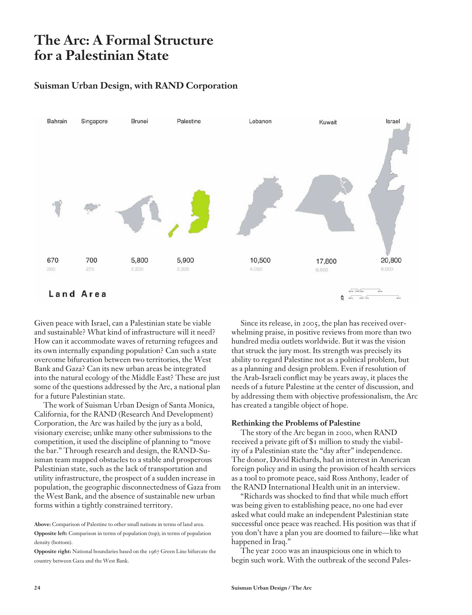# **The Arc: A Formal Structure for a Palestinian State**

# **Suisman Urban Design, with RAND Corporation**



Given peace with Israel, can a Palestinian state be viable and sustainable? What kind of infrastructure will it need? How can it accommodate waves of returning refugees and its own internally expanding population? Can such a state overcome bifurcation between two territories, the West Bank and Gaza? Can its new urban areas be integrated into the natural ecology of the Middle East? These are just some of the questions addressed by the Arc, a national plan for a future Palestinian state.

The work of Suisman Urban Design of Santa Monica, California, for the RAND (Research And Development) Corporation, the Arc was hailed by the jury as a bold, visionary exercise; unlike many other submissions to the competition, it used the discipline of planning to "move the bar." Through research and design, the RAND-Suisman team mapped obstacles to a stable and prosperous Palestinian state, such as the lack of transportation and utility infrastructure, the prospect of a sudden increase in population, the geographic disconnectedness of Gaza from the West Bank, and the absence of sustainable new urban forms within a tightly constrained territory.

**Above:** Comparison of Palestine to other small nations in terms of land area.

**Opposite left:** Comparison in terms of population (top); in terms of population density (bottom).

**Opposite right:** National boundaries based on the 1967 Green Line bifurcate the country between Gaza and the West Bank.

Since its release, in 2005, the plan has received overwhelming praise, in positive reviews from more than two hundred media outlets worldwide. But it was the vision that struck the jury most. Its strength was precisely its ability to regard Palestine not as a political problem, but as a planning and design problem. Even if resolution of the Arab-Israeli conflict may be years away, it places the needs of a future Palestine at the center of discussion, and by addressing them with objective professionalism, the Arc has created a tangible object of hope.

#### **Rethinking the Problems of Palestine**

The story of the Arc began in 2000, when RAND received a private gift of \$1 million to study the viability of a Palestinian state the "day after" independence. The donor, David Richards, had an interest in American foreign policy and in using the provision of health services as a tool to promote peace, said Ross Anthony, leader of the RAND International Health unit in an interview.

"Richards was shocked to find that while much effort was being given to establishing peace, no one had ever asked what could make an independent Palestinian state successful once peace was reached. His position was that if you don't have a plan you are doomed to failure—like what happened in Iraq."

The year 2000 was an inauspicious one in which to begin such work. With the outbreak of the second Pales-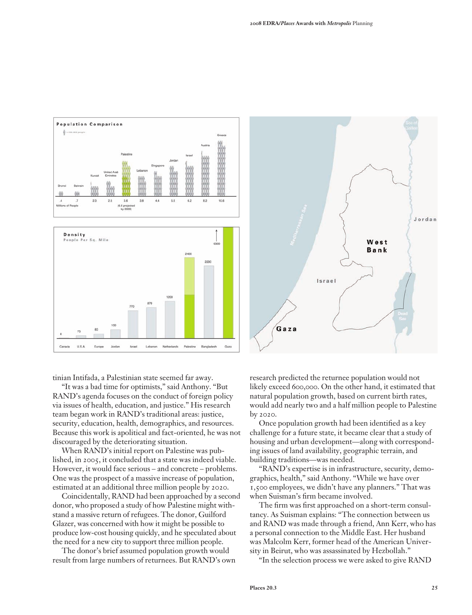

tinian Intifada, a Palestinian state seemed far away.

"It was a bad time for optimists," said Anthony. "But RAND's agenda focuses on the conduct of foreign policy via issues of health, education, and justice." His research team began work in RAND's traditional areas: justice, security, education, health, demographics, and resources. Because this work is apolitical and fact-oriented, he was not discouraged by the deteriorating situation.

When RAND's initial report on Palestine was published, in 2005, it concluded that a state was indeed viable. However, it would face serious – and concrete – problems. One was the prospect of a massive increase of population, estimated at an additional three million people by 2020.

Coincidentally, RAND had been approached by a second donor, who proposed a study of how Palestine might withstand a massive return of refugees. The donor, Guilford Glazer, was concerned with how it might be possible to produce low-cost housing quickly, and he speculated about the need for a new city to support three million people.

The donor's brief assumed population growth would result from large numbers of returnees. But RAND's own research predicted the returnee population would not likely exceed 600,000. On the other hand, it estimated that natural population growth, based on current birth rates, would add nearly two and a half million people to Palestine by 2020.

Israel

Gaza

Once population growth had been identified as a key challenge for a future state, it became clear that a study of housing and urban development—along with corresponding issues of land availability, geographic terrain, and building traditions—was needed.

"RAND's expertise is in infrastructure, security, demographics, health," said Anthony. "While we have over 1,500 employees, we didn't have any planners." That was when Suisman's firm became involved.

The firm was first approached on a short-term consultancy. As Suisman explains: "The connection between us and RAND was made through a friend, Ann Kerr, who has a personal connection to the Middle East. Her husband was Malcolm Kerr, former head of the American University in Beirut, who was assassinated by Hezbollah."

"In the selection process we were asked to give RAND

Jordan

West Bank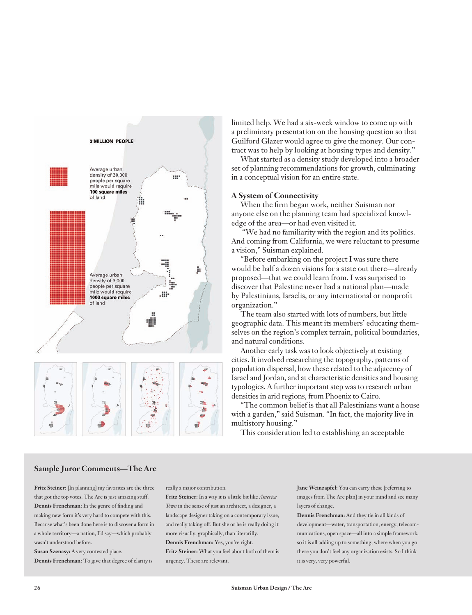

limited help. We had a six-week window to come up with a preliminary presentation on the housing question so that Guilford Glazer would agree to give the money. Our contract was to help by looking at housing types and density."

What started as a density study developed into a broader set of planning recommendations for growth, culminating in a conceptual vision for an entire state.

#### **A System of Connectivity**

When the firm began work, neither Suisman nor anyone else on the planning team had specialized knowledge of the area—or had even visited it.

 "We had no familiarity with the region and its politics. And coming from California, we were reluctant to presume a vision," Suisman explained.

"Before embarking on the project I was sure there would be half a dozen visions for a state out there—already proposed—that we could learn from. I was surprised to discover that Palestine never had a national plan—made by Palestinians, Israelis, or any international or nonprofit organization."

The team also started with lots of numbers, but little geographic data. This meant its members' educating themselves on the region's complex terrain, political boundaries, and natural conditions.

Another early task was to look objectively at existing cities. It involved researching the topography, patterns of population dispersal, how these related to the adjacency of Israel and Jordan, and at characteristic densities and housing typologies. A further important step was to research urban densities in arid regions, from Phoenix to Cairo.

"The common belief is that all Palestinians want a house with a garden," said Suisman. "In fact, the majority live in multistory housing."

This consideration led to establishing an acceptable

#### **Sample Juror Comments—The Arc**

**Fritz Steiner:** [In planning] my favorites are the three that got the top votes. The Arc is just amazing stuff. **Dennis Frenchman:** In the genre of finding and making new form it's very hard to compete with this. Because what's been done here is to discover a form in a whole territory—a nation, I'd say—which probably wasn't understood before.

**Susan Szenasy:** A very contested place. **Dennis Frenchman:** To give that degree of clarity is really a major contribution.

**Fritz Steiner:** In a way it is a little bit like *America Town* in the sense of just an architect, a designer, a landscape designer taking on a contemporary issue, and really taking off. But she or he is really doing it more visually, graphically, than literarilly.

**Dennis Frenchman:** Yes, you're right. **Fritz Steiner:** What you feel about both of them is

urgency. These are relevant.

**Jane Weinzapfel:** You can carry these [referring to images from The Arc plan] in your mind and see many layers of change.

**Dennis Frenchman:** And they tie in all kinds of development—water, transportation, energy, telecommunications, open space—all into a simple framework, so it is all adding up to something, where when you go there you don't feel any organization exists. So I think it is very, very powerful.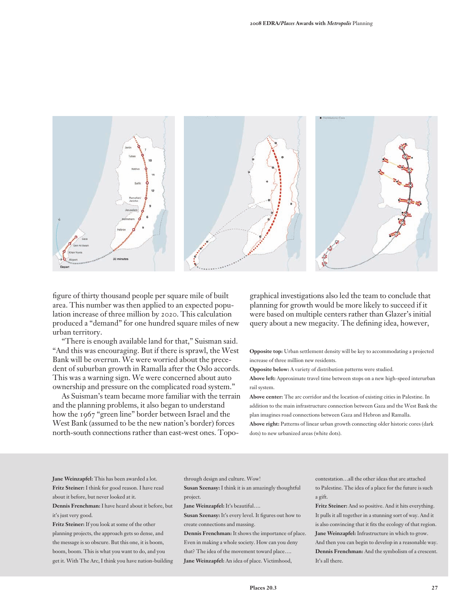

figure of thirty thousand people per square mile of built area. This number was then applied to an expected population increase of three million by 2020. This calculation produced a "demand" for one hundred square miles of new urban territory.

"There is enough available land for that," Suisman said. "And this was encouraging. But if there is sprawl, the West Bank will be overrun. We were worried about the precedent of suburban growth in Ramalla after the Oslo accords. This was a warning sign. We were concerned about auto ownership and pressure on the complicated road system."

As Suisman's team became more familiar with the terrain and the planning problems, it also began to understand how the 1967 "green line" border between Israel and the West Bank (assumed to be the new nation's border) forces north-south connections rather than east-west ones. Topo-

graphical investigations also led the team to conclude that planning for growth would be more likely to succeed if it were based on multiple centers rather than Glazer's initial query about a new megacity. The defining idea, however,

**Opposite top:** Urban settlement density will be key to accommodating a projected increase of three million new residents.

**Opposite below:** A variety of distribution patterns were studied.

**Above left:** Approximate travel time between stops on a new high-speed interurban rail system.

**Above center:** The arc corridor and the location of existing cities in Palestine. In addition to the main infrastructure connection between Gaza and the West Bank the plan imagines road connections between Gaza and Hebron and Ramalla.

**Above right:** Patterns of linear urban growth connecting older historic cores (dark dots) to new urbanized areas (white dots).

**Jane Weinzapfel:** This has been awarded a lot. **Fritz Steiner:** I think for good reason. I have read about it before, but never looked at it.

**Dennis Frenchman:** I have heard about it before, but it's just very good.

**Fritz Steiner:** If you look at some of the other planning projects, the approach gets so dense, and the message is so obscure. But this one, it is boom, boom, boom. This is what you want to do, and you get it. With The Arc, I think you have nation-building through design and culture. Wow!

**Susan Szenasy:** I think it is an amazingly thoughtful project.

**Jane Weinzapfel:** It's beautiful….

**Susan Szenasy:** It's every level. It figures out how to create connections and massing.

**Dennis Frenchman:** It shows the importance of place. Even in making a whole society. How can you deny that? The idea of the movement toward place…. **Jane Weinzapfel:** An idea of place. Victimhood,

contestation…all the other ideas that are attached to Palestine. The idea of a place for the future is such a gift.

**Fritz Steiner:** And so positive. And it hits everything. It pulls it all together in a stunning sort of way. And it is also convincing that it fits the ecology of that region. **Jane Weinzapfel:** Infrastructure in which to grow. And then you can begin to develop in a reasonable way. **Dennis Frenchman:** And the symbolism of a crescent. It's all there.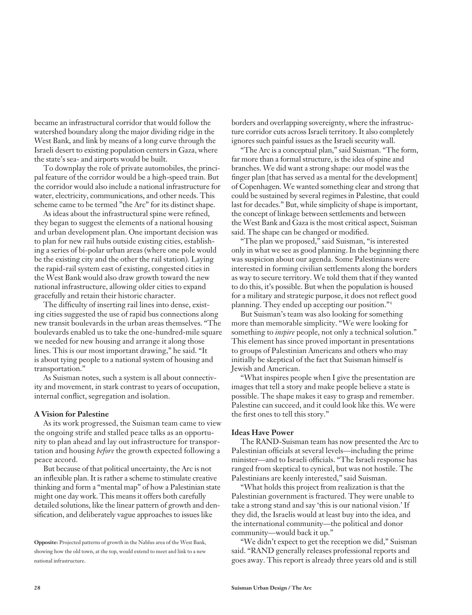became an infrastructural corridor that would follow the watershed boundary along the major dividing ridge in the West Bank, and link by means of a long curve through the Israeli desert to existing population centers in Gaza, where the state's sea- and airports would be built.

To downplay the role of private automobiles, the principal feature of the corridor would be a high-speed train. But the corridor would also include a national infrastructure for water, electricity, communications, and other needs. This scheme came to be termed "the Arc" for its distinct shape.

As ideas about the infrastructural spine were refined, they began to suggest the elements of a national housing and urban development plan. One important decision was to plan for new rail hubs outside existing cities, establishing a series of bi-polar urban areas (where one pole would be the existing city and the other the rail station). Laying the rapid-rail system east of existing, congested cities in the West Bank would also draw growth toward the new national infrastructure, allowing older cities to expand gracefully and retain their historic character.

The difficulty of inserting rail lines into dense, existing cities suggested the use of rapid bus connections along new transit boulevards in the urban areas themselves. "The boulevards enabled us to take the one-hundred-mile square we needed for new housing and arrange it along those lines. This is our most important drawing," he said. "It is about tying people to a national system of housing and transportation."

As Suisman notes, such a system is all about connectivity and movement, in stark contrast to years of occupation, internal conflict, segregation and isolation.

#### **A Vision for Palestine**

As its work progressed, the Suisman team came to view the ongoing strife and stalled peace talks as an opportunity to plan ahead and lay out infrastructure for transportation and housing *before* the growth expected following a peace accord.

But because of that political uncertainty, the Arc is not an inflexible plan. It is rather a scheme to stimulate creative thinking and form a "mental map" of how a Palestinian state might one day work. This means it offers both carefully detailed solutions, like the linear pattern of growth and densification, and deliberately vague approaches to issues like

borders and overlapping sovereignty, where the infrastructure corridor cuts across Israeli territory. It also completely ignores such painful issues as the Israeli security wall.

"The Arc is a conceptual plan," said Suisman. "The form, far more than a formal structure, is the idea of spine and branches. We did want a strong shape: our model was the finger plan [that has served as a mental for the development] of Copenhagen. We wanted something clear and strong that could be sustained by several regimes in Palestine, that could last for decades." But, while simplicity of shape is important, the concept of linkage between settlements and between the West Bank and Gaza is the most critical aspect, Suisman said. The shape can be changed or modified.

"The plan we proposed," said Suisman, "is interested only in what we see as good planning. In the beginning there was suspicion about our agenda. Some Palestinians were interested in forming civilian settlements along the borders as way to secure territory. We told them that if they wanted to do this, it's possible. But when the population is housed for a military and strategic purpose, it does not reflect good planning. They ended up accepting our position."<sup>1</sup>

But Suisman's team was also looking for something more than memorable simplicity. "We were looking for something to *inspire* people, not only a technical solution." This element has since proved important in presentations to groups of Palestinian Americans and others who may initially be skeptical of the fact that Suisman himself is Jewish and American.

"What inspires people when I give the presentation are images that tell a story and make people believe a state is possible. The shape makes it easy to grasp and remember. Palestine can succeed, and it could look like this. We were the first ones to tell this story."

#### **Ideas Have Power**

The RAND-Suisman team has now presented the Arc to Palestinian officials at several levels—including the prime minister—and to Israeli officials. "The Israeli response has ranged from skeptical to cynical, but was not hostile. The Palestinians are keenly interested," said Suisman.

"What holds this project from realization is that the Palestinian government is fractured. They were unable to take a strong stand and say 'this is our national vision.' If they did, the Israelis would at least buy into the idea, and the international community—the political and donor community—would back it up."

"We didn't expect to get the reception we did," Suisman said. "RAND generally releases professional reports and goes away. This report is already three years old and is still

**Opposite:** Projected patterns of growth in the Nablus area of the West Bank, showing how the old town, at the top, would extend to meet and link to a new national infrastructure.